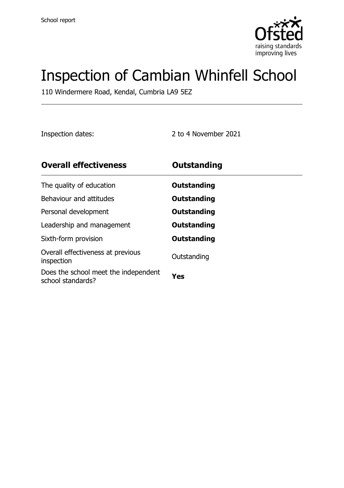

# Inspection of Cambian Whinfell School

110 Windermere Road, Kendal, Cumbria LA9 5EZ

Inspection dates: 2 to 4 November 2021

| <b>Overall effectiveness</b>                              | Outstanding |
|-----------------------------------------------------------|-------------|
| The quality of education                                  | Outstanding |
| Behaviour and attitudes                                   | Outstanding |
| Personal development                                      | Outstanding |
| Leadership and management                                 | Outstanding |
| Sixth-form provision                                      | Outstanding |
| Overall effectiveness at previous<br>inspection           | Outstanding |
| Does the school meet the independent<br>school standards? | Yes         |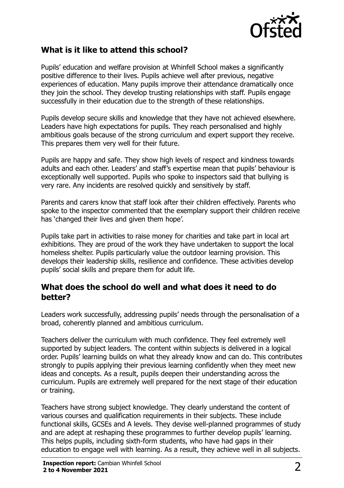

#### **What is it like to attend this school?**

Pupils' education and welfare provision at Whinfell School makes a significantly positive difference to their lives. Pupils achieve well after previous, negative experiences of education. Many pupils improve their attendance dramatically once they join the school. They develop trusting relationships with staff. Pupils engage successfully in their education due to the strength of these relationships.

Pupils develop secure skills and knowledge that they have not achieved elsewhere. Leaders have high expectations for pupils. They reach personalised and highly ambitious goals because of the strong curriculum and expert support they receive. This prepares them very well for their future.

Pupils are happy and safe. They show high levels of respect and kindness towards adults and each other. Leaders' and staff's expertise mean that pupils' behaviour is exceptionally well supported. Pupils who spoke to inspectors said that bullying is very rare. Any incidents are resolved quickly and sensitively by staff.

Parents and carers know that staff look after their children effectively. Parents who spoke to the inspector commented that the exemplary support their children receive has 'changed their lives and given them hope'.

Pupils take part in activities to raise money for charities and take part in local art exhibitions. They are proud of the work they have undertaken to support the local homeless shelter. Pupils particularly value the outdoor learning provision. This develops their leadership skills, resilience and confidence. These activities develop pupils' social skills and prepare them for adult life.

#### **What does the school do well and what does it need to do better?**

Leaders work successfully, addressing pupils' needs through the personalisation of a broad, coherently planned and ambitious curriculum.

Teachers deliver the curriculum with much confidence. They feel extremely well supported by subject leaders. The content within subjects is delivered in a logical order. Pupils' learning builds on what they already know and can do. This contributes strongly to pupils applying their previous learning confidently when they meet new ideas and concepts. As a result, pupils deepen their understanding across the curriculum. Pupils are extremely well prepared for the next stage of their education or training.

Teachers have strong subject knowledge. They clearly understand the content of various courses and qualification requirements in their subjects. These include functional skills, GCSEs and A levels. They devise well-planned programmes of study and are adept at reshaping these programmes to further develop pupils' learning. This helps pupils, including sixth-form students, who have had gaps in their education to engage well with learning. As a result, they achieve well in all subjects.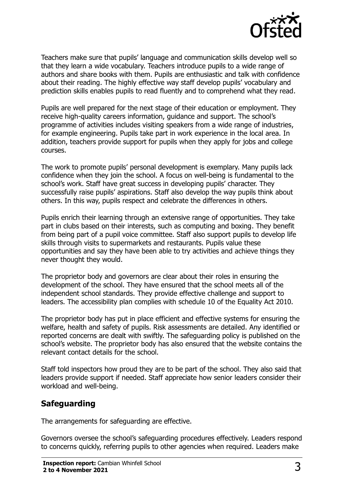

Teachers make sure that pupils' language and communication skills develop well so that they learn a wide vocabulary. Teachers introduce pupils to a wide range of authors and share books with them. Pupils are enthusiastic and talk with confidence about their reading. The highly effective way staff develop pupils' vocabulary and prediction skills enables pupils to read fluently and to comprehend what they read.

Pupils are well prepared for the next stage of their education or employment. They receive high-quality careers information, guidance and support. The school's programme of activities includes visiting speakers from a wide range of industries, for example engineering. Pupils take part in work experience in the local area. In addition, teachers provide support for pupils when they apply for jobs and college courses.

The work to promote pupils' personal development is exemplary. Many pupils lack confidence when they join the school. A focus on well-being is fundamental to the school's work. Staff have great success in developing pupils' character. They successfully raise pupils' aspirations. Staff also develop the way pupils think about others. In this way, pupils respect and celebrate the differences in others.

Pupils enrich their learning through an extensive range of opportunities. They take part in clubs based on their interests, such as computing and boxing. They benefit from being part of a pupil voice committee. Staff also support pupils to develop life skills through visits to supermarkets and restaurants. Pupils value these opportunities and say they have been able to try activities and achieve things they never thought they would.

The proprietor body and governors are clear about their roles in ensuring the development of the school. They have ensured that the school meets all of the independent school standards. They provide effective challenge and support to leaders. The accessibility plan complies with schedule 10 of the Equality Act 2010.

The proprietor body has put in place efficient and effective systems for ensuring the welfare, health and safety of pupils. Risk assessments are detailed. Any identified or reported concerns are dealt with swiftly. The safeguarding policy is published on the school's website. The proprietor body has also ensured that the website contains the relevant contact details for the school.

Staff told inspectors how proud they are to be part of the school. They also said that leaders provide support if needed. Staff appreciate how senior leaders consider their workload and well-being.

### **Safeguarding**

The arrangements for safeguarding are effective.

Governors oversee the school's safeguarding procedures effectively. Leaders respond to concerns quickly, referring pupils to other agencies when required. Leaders make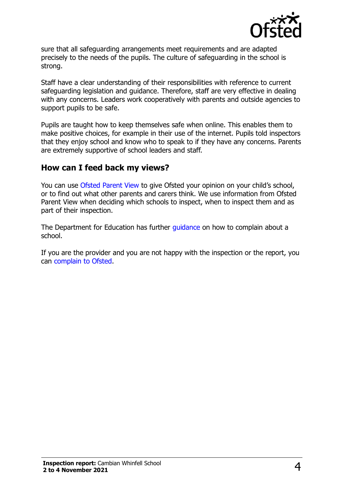

sure that all safeguarding arrangements meet requirements and are adapted precisely to the needs of the pupils. The culture of safeguarding in the school is strong.

Staff have a clear understanding of their responsibilities with reference to current safeguarding legislation and guidance. Therefore, staff are very effective in dealing with any concerns. Leaders work cooperatively with parents and outside agencies to support pupils to be safe.

Pupils are taught how to keep themselves safe when online. This enables them to make positive choices, for example in their use of the internet. Pupils told inspectors that they enjoy school and know who to speak to if they have any concerns. Parents are extremely supportive of school leaders and staff.

#### **How can I feed back my views?**

You can use [Ofsted Parent View](http://parentview.ofsted.gov.uk/) to give Ofsted your opinion on your child's school, or to find out what other parents and carers think. We use information from Ofsted Parent View when deciding which schools to inspect, when to inspect them and as part of their inspection.

The Department for Education has further quidance on how to complain about a school.

If you are the provider and you are not happy with the inspection or the report, you can [complain to Ofsted.](http://www.gov.uk/complain-ofsted-report)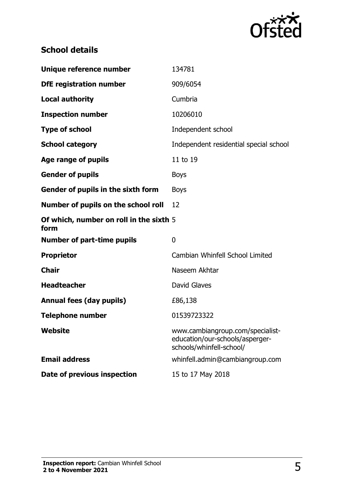

## **School details**

| Unique reference number                         | 134781                                                                                          |
|-------------------------------------------------|-------------------------------------------------------------------------------------------------|
| <b>DfE registration number</b>                  | 909/6054                                                                                        |
| <b>Local authority</b>                          | Cumbria                                                                                         |
| <b>Inspection number</b>                        | 10206010                                                                                        |
| <b>Type of school</b>                           | Independent school                                                                              |
| <b>School category</b>                          | Independent residential special school                                                          |
| Age range of pupils                             | 11 to 19                                                                                        |
| <b>Gender of pupils</b>                         | <b>Boys</b>                                                                                     |
| Gender of pupils in the sixth form              | <b>Boys</b>                                                                                     |
| Number of pupils on the school roll             | 12                                                                                              |
| Of which, number on roll in the sixth 5<br>form |                                                                                                 |
| <b>Number of part-time pupils</b>               | $\overline{0}$                                                                                  |
| <b>Proprietor</b>                               | Cambian Whinfell School Limited                                                                 |
| <b>Chair</b>                                    | Naseem Akhtar                                                                                   |
| <b>Headteacher</b>                              | David Glaves                                                                                    |
| <b>Annual fees (day pupils)</b>                 | £86,138                                                                                         |
| <b>Telephone number</b>                         | 01539723322                                                                                     |
| Website                                         | www.cambiangroup.com/specialist-<br>education/our-schools/asperger-<br>schools/whinfell-school/ |
| <b>Email address</b>                            | whinfell.admin@cambiangroup.com                                                                 |
| Date of previous inspection                     | 15 to 17 May 2018                                                                               |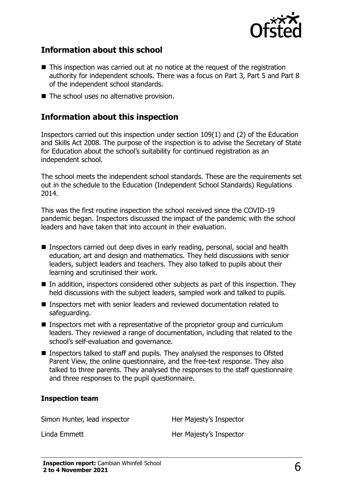

#### **Information about this school**

- This inspection was carried out at no notice at the request of the registration authority for independent schools. There was a focus on Part 3, Part 5 and Part 8 of the independent school standards.
- The school uses no alternative provision.

#### **Information about this inspection**

Inspectors carried out this inspection under section 109(1) and (2) of the Education and Skills Act 2008. The purpose of the inspection is to advise the Secretary of State for Education about the school's suitability for continued registration as an independent school.

The school meets the independent school standards. These are the requirements set out in the schedule to the Education (Independent School Standards) Regulations 2014.

This was the first routine inspection the school received since the COVID-19 pandemic began. Inspectors discussed the impact of the pandemic with the school leaders and have taken that into account in their evaluation.

- Inspectors carried out deep dives in early reading, personal, social and health education, art and design and mathematics. They held discussions with senior leaders, subject leaders and teachers. They also talked to pupils about their learning and scrutinised their work.
- In addition, inspectors considered other subjects as part of this inspection. They held discussions with the subject leaders, sampled work and talked to pupils.
- Inspectors met with senior leaders and reviewed documentation related to safeguarding.
- Inspectors met with a representative of the proprietor group and curriculum leaders. They reviewed a range of documentation, including that related to the school's self-evaluation and governance.
- Inspectors talked to staff and pupils. They analysed the responses to Ofsted Parent View, the online questionnaire, and the free-text response. They also talked to three parents. They analysed the responses to the staff questionnaire and three responses to the pupil questionnaire.

#### **Inspection team**

Simon Hunter, lead inspector **Her Majesty's Inspector** 

Linda Emmett **Her Majesty's Inspector**